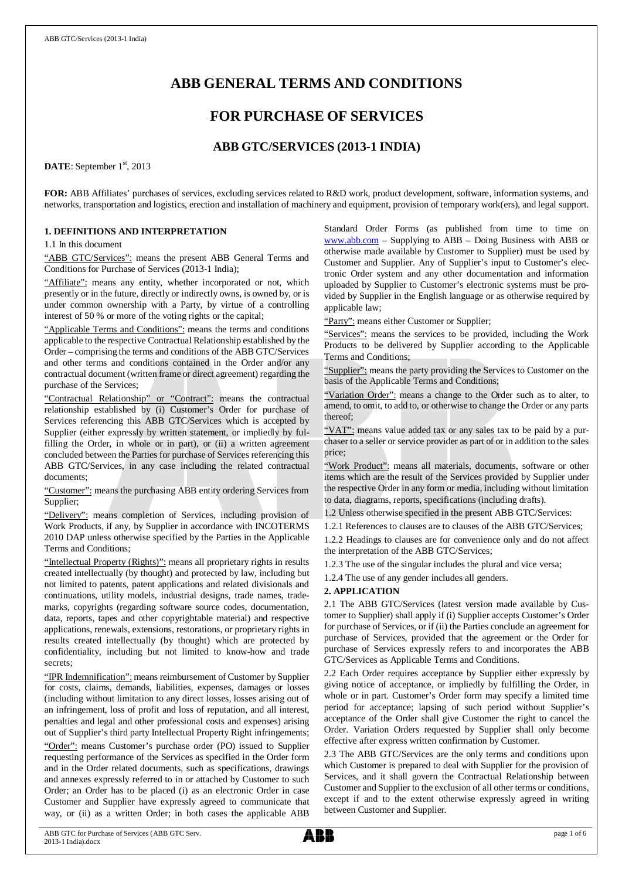# **ABB GENERAL TERMS AND CONDITIONS**

## **FOR PURCHASE OF SERVICES**

## **ABB GTC/SERVICES (2013-1 INDIA)**

DATE: September 1<sup>st</sup>, 2013

**FOR:** ABB Affiliates' purchases of services, excluding services related to R&D work, product development, software, information systems, and networks, transportation and logistics, erection and installation of machinery and equipment, provision of temporary work(ers), and legal support.

## **1. DEFINITIONS AND INTERPRETATION**

1.1 In this document

"ABB GTC/Services": means the present ABB General Terms and Conditions for Purchase of Services (2013-1 India);

"Affiliate": means any entity, whether incorporated or not, which presently or in the future, directly or indirectly owns, is owned by, or is under common ownership with a Party, by virtue of a controlling interest of 50 % or more of the voting rights or the capital;

"Applicable Terms and Conditions": means the terms and conditions applicable to the respective Contractual Relationship established by the Order – comprising the terms and conditions of the ABB GTC/Services and other terms and conditions contained in the Order and/or any contractual document (written frame or direct agreement) regarding the purchase of the Services;

"Contractual Relationship" or "Contract": means the contractual relationship established by (i) Customer's Order for purchase of Services referencing this ABB GTC/Services which is accepted by Supplier (either expressly by written statement, or impliedly by fulfilling the Order, in whole or in part), or (ii) a written agreement concluded between the Parties for purchase of Services referencing this ABB GTC/Services, in any case including the related contractual documents;

"Customer": means the purchasing ABB entity ordering Services from Supplier;

"Delivery": means completion of Services, including provision of Work Products, if any, by Supplier in accordance with INCOTERMS 2010 DAP unless otherwise specified by the Parties in the Applicable Terms and Conditions;

"Intellectual Property (Rights)": means all proprietary rights in results created intellectually (by thought) and protected by law, including but not limited to patents, patent applications and related divisionals and continuations, utility models, industrial designs, trade names, trademarks, copyrights (regarding software source codes, documentation, data, reports, tapes and other copyrightable material) and respective applications, renewals, extensions, restorations, or proprietary rights in results created intellectually (by thought) which are protected by confidentiality, including but not limited to know-how and trade secrets;

"IPR Indemnification": means reimbursement of Customer by Supplier for costs, claims, demands, liabilities, expenses, damages or losses (including without limitation to any direct losses, losses arising out of an infringement, loss of profit and loss of reputation, and all interest, penalties and legal and other professional costs and expenses) arising out of Supplier's third party Intellectual Property Right infringements; "Order": means Customer's purchase order (PO) issued to Supplier requesting performance of the Services as specified in the Order form and in the Order related documents, such as specifications, drawings and annexes expressly referred to in or attached by Customer to such Order; an Order has to be placed (i) as an electronic Order in case Customer and Supplier have expressly agreed to communicate that way, or (ii) as a written Order; in both cases the applicable ABB

Standard Order Forms (as published from time to time on [www.abb.com](http://www.abb.com/) – Supplying to ABB – Doing Business with ABB or otherwise made available by Customer to Supplier) must be used by Customer and Supplier. Any of Supplier's input to Customer's electronic Order system and any other documentation and information uploaded by Supplier to Customer's electronic systems must be provided by Supplier in the English language or as otherwise required by applicable law;

"Party": means either Customer or Supplier;

"Services": means the services to be provided, including the Work Products to be delivered by Supplier according to the Applicable Terms and Conditions;

"Supplier": means the party providing the Services to Customer on the basis of the Applicable Terms and Conditions;

"Variation Order": means a change to the Order such as to alter, to amend, to omit, to add to, or otherwise to change the Order or any parts thereof;

"VAT": means value added tax or any sales tax to be paid by a purchaser to a seller or service provider as part of or in addition to the sales price;

"Work Product": means all materials, documents, software or other items which are the result of the Services provided by Supplier under the respective Order in any form or media, including without limitation to data, diagrams, reports, specifications (including drafts).

1.2 Unless otherwise specified in the present ABB GTC/Services:

1.2.1 References to clauses are to clauses of the ABB GTC/Services; 1.2.2 Headings to clauses are for convenience only and do not affect the interpretation of the ABB GTC/Services;

1.2.3 The use of the singular includes the plural and vice versa;

1.2.4 The use of any gender includes all genders.

## **2. APPLICATION**

2.1 The ABB GTC/Services (latest version made available by Customer to Supplier) shall apply if (i) Supplier accepts Customer's Order for purchase of Services, or if (ii) the Parties conclude an agreement for purchase of Services, provided that the agreement or the Order for purchase of Services expressly refers to and incorporates the ABB GTC/Services as Applicable Terms and Conditions.

2.2 Each Order requires acceptance by Supplier either expressly by giving notice of acceptance, or impliedly by fulfilling the Order, in whole or in part. Customer's Order form may specify a limited time period for acceptance; lapsing of such period without Supplier's acceptance of the Order shall give Customer the right to cancel the Order. Variation Orders requested by Supplier shall only become effective after express written confirmation by Customer.

2.3 The ABB GTC/Services are the only terms and conditions upon which Customer is prepared to deal with Supplier for the provision of Services, and it shall govern the Contractual Relationship between Customer and Supplier to the exclusion of all other terms or conditions, except if and to the extent otherwise expressly agreed in writing between Customer and Supplier.

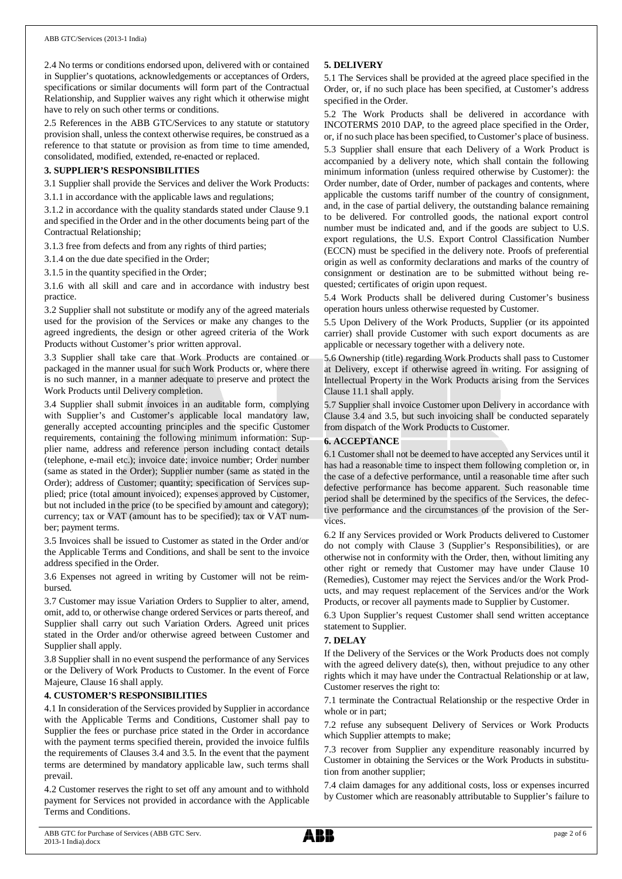2.4 No terms or conditions endorsed upon, delivered with or contained in Supplier's quotations, acknowledgements or acceptances of Orders, specifications or similar documents will form part of the Contractual Relationship, and Supplier waives any right which it otherwise might have to rely on such other terms or conditions.

2.5 References in the ABB GTC/Services to any statute or statutory provision shall, unless the context otherwise requires, be construed as a reference to that statute or provision as from time to time amended, consolidated, modified, extended, re-enacted or replaced.

## **3. SUPPLIER'S RESPONSIBILITIES**

3.1 Supplier shall provide the Services and deliver the Work Products: 3.1.1 in accordance with the applicable laws and regulations;

3.1.2 in accordance with the quality standards stated under Clause 9.1 and specified in the Order and in the other documents being part of the

Contractual Relationship; 3.1.3 free from defects and from any rights of third parties;

3.1.4 on the due date specified in the Order;

3.1.5 in the quantity specified in the Order;

3.1.6 with all skill and care and in accordance with industry best practice.

3.2 Supplier shall not substitute or modify any of the agreed materials used for the provision of the Services or make any changes to the agreed ingredients, the design or other agreed criteria of the Work Products without Customer's prior written approval.

3.3 Supplier shall take care that Work Products are contained or packaged in the manner usual for such Work Products or, where there is no such manner, in a manner adequate to preserve and protect the Work Products until Delivery completion.

3.4 Supplier shall submit invoices in an auditable form, complying with Supplier's and Customer's applicable local mandatory law, generally accepted accounting principles and the specific Customer requirements, containing the following minimum information: Supplier name, address and reference person including contact details (telephone, e-mail etc.); invoice date; invoice number; Order number (same as stated in the Order); Supplier number (same as stated in the Order); address of Customer; quantity; specification of Services supplied; price (total amount invoiced); expenses approved by Customer, but not included in the price (to be specified by amount and category); currency; tax or VAT (amount has to be specified); tax or VAT number; payment terms.

3.5 Invoices shall be issued to Customer as stated in the Order and/or the Applicable Terms and Conditions, and shall be sent to the invoice address specified in the Order.

3.6 Expenses not agreed in writing by Customer will not be reimbursed.

3.7 Customer may issue Variation Orders to Supplier to alter, amend, omit, add to, or otherwise change ordered Services or parts thereof, and Supplier shall carry out such Variation Orders. Agreed unit prices stated in the Order and/or otherwise agreed between Customer and Supplier shall apply.

3.8 Supplier shall in no event suspend the performance of any Services or the Delivery of Work Products to Customer. In the event of Force Majeure, Clause 16 shall apply.

## **4. CUSTOMER'S RESPONSIBILITIES**

4.1 In consideration of the Services provided by Supplier in accordance with the Applicable Terms and Conditions, Customer shall pay to Supplier the fees or purchase price stated in the Order in accordance with the payment terms specified therein, provided the invoice fulfils the requirements of Clauses 3.4 and 3.5. In the event that the payment terms are determined by mandatory applicable law, such terms shall prevail.

4.2 Customer reserves the right to set off any amount and to withhold payment for Services not provided in accordance with the Applicable Terms and Conditions.

## **5. DELIVERY**

5.1 The Services shall be provided at the agreed place specified in the Order, or, if no such place has been specified, at Customer's address specified in the Order.

5.2 The Work Products shall be delivered in accordance with INCOTERMS 2010 DAP, to the agreed place specified in the Order, or, if no such place has been specified, to Customer's place of business. 5.3 Supplier shall ensure that each Delivery of a Work Product is accompanied by a delivery note, which shall contain the following minimum information (unless required otherwise by Customer): the Order number, date of Order, number of packages and contents, where applicable the customs tariff number of the country of consignment, and, in the case of partial delivery, the outstanding balance remaining to be delivered. For controlled goods, the national export control number must be indicated and, and if the goods are subject to U.S. export regulations, the U.S. Export Control Classification Number (ECCN) must be specified in the delivery note. Proofs of preferential origin as well as conformity declarations and marks of the country of consignment or destination are to be submitted without being requested; certificates of origin upon request.

5.4 Work Products shall be delivered during Customer's business operation hours unless otherwise requested by Customer.

5.5 Upon Delivery of the Work Products, Supplier (or its appointed carrier) shall provide Customer with such export documents as are applicable or necessary together with a delivery note.

5.6 Ownership (title) regarding Work Products shall pass to Customer at Delivery, except if otherwise agreed in writing. For assigning of Intellectual Property in the Work Products arising from the Services Clause 11.1 shall apply.

5.7 Supplier shall invoice Customer upon Delivery in accordance with Clause 3.4 and 3.5, but such invoicing shall be conducted separately from dispatch of the Work Products to Customer.

## **6. ACCEPTANCE**

6.1 Customer shall not be deemed to have accepted any Services until it has had a reasonable time to inspect them following completion or, in the case of a defective performance, until a reasonable time after such defective performance has become apparent. Such reasonable time period shall be determined by the specifics of the Services, the defective performance and the circumstances of the provision of the Services.

6.2 If any Services provided or Work Products delivered to Customer do not comply with Clause 3 (Supplier's Responsibilities), or are otherwise not in conformity with the Order, then, without limiting any other right or remedy that Customer may have under Clause 10 (Remedies), Customer may reject the Services and/or the Work Products, and may request replacement of the Services and/or the Work Products, or recover all payments made to Supplier by Customer.

6.3 Upon Supplier's request Customer shall send written acceptance statement to Supplier.

## **7. DELAY**

If the Delivery of the Services or the Work Products does not comply with the agreed delivery date(s), then, without prejudice to any other rights which it may have under the Contractual Relationship or at law, Customer reserves the right to:

7.1 terminate the Contractual Relationship or the respective Order in whole or in part;

7.2 refuse any subsequent Delivery of Services or Work Products which Supplier attempts to make;

7.3 recover from Supplier any expenditure reasonably incurred by Customer in obtaining the Services or the Work Products in substitution from another supplier;

7.4 claim damages for any additional costs, loss or expenses incurred by Customer which are reasonably attributable to Supplier's failure to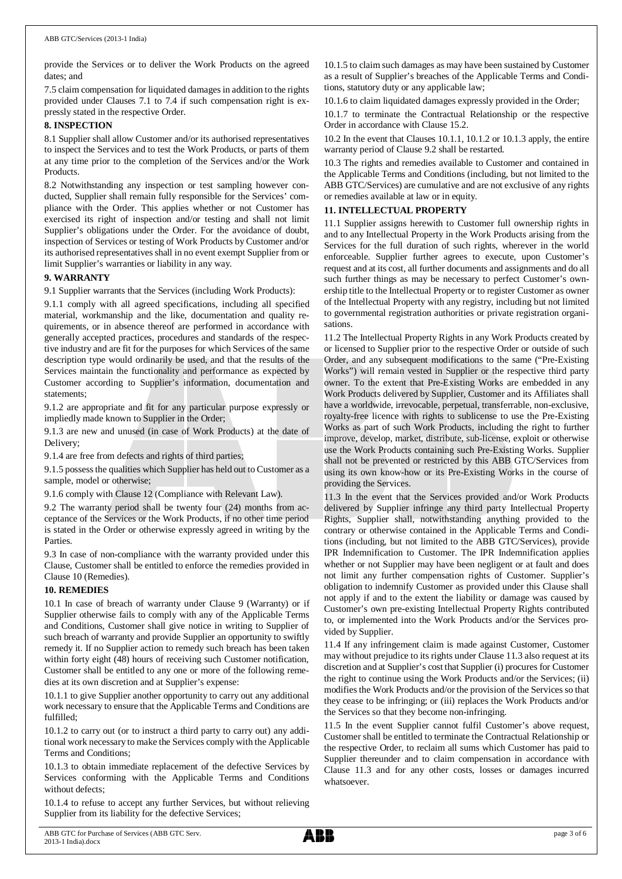provide the Services or to deliver the Work Products on the agreed dates; and

7.5 claim compensation for liquidated damages in addition to the rights provided under Clauses 7.1 to 7.4 if such compensation right is expressly stated in the respective Order.

## **8. INSPECTION**

8.1 Supplier shall allow Customer and/or its authorised representatives to inspect the Services and to test the Work Products, or parts of them at any time prior to the completion of the Services and/or the Work Products.

8.2 Notwithstanding any inspection or test sampling however conducted, Supplier shall remain fully responsible for the Services' compliance with the Order. This applies whether or not Customer has exercised its right of inspection and/or testing and shall not limit Supplier's obligations under the Order. For the avoidance of doubt, inspection of Services or testing of Work Products by Customer and/or its authorised representatives shall in no event exempt Supplier from or limit Supplier's warranties or liability in any way.

## **9. WARRANTY**

9.1 Supplier warrants that the Services (including Work Products):

9.1.1 comply with all agreed specifications, including all specified material, workmanship and the like, documentation and quality requirements, or in absence thereof are performed in accordance with generally accepted practices, procedures and standards of the respective industry and are fit for the purposes for which Services of the same description type would ordinarily be used, and that the results of the Services maintain the functionality and performance as expected by Customer according to Supplier's information, documentation and statements;

9.1.2 are appropriate and fit for any particular purpose expressly or impliedly made known to Supplier in the Order;

9.1.3 are new and unused (in case of Work Products) at the date of Delivery;

9.1.4 are free from defects and rights of third parties;

9.1.5 possess the qualities which Supplier has held out to Customer as a sample, model or otherwise;

9.1.6 comply with Clause 12 (Compliance with Relevant Law).

9.2 The warranty period shall be twenty four (24) months from acceptance of the Services or the Work Products, if no other time period is stated in the Order or otherwise expressly agreed in writing by the Parties.

9.3 In case of non-compliance with the warranty provided under this Clause, Customer shall be entitled to enforce the remedies provided in Clause 10 (Remedies).

## **10. REMEDIES**

10.1 In case of breach of warranty under Clause 9 (Warranty) or if Supplier otherwise fails to comply with any of the Applicable Terms and Conditions, Customer shall give notice in writing to Supplier of such breach of warranty and provide Supplier an opportunity to swiftly remedy it. If no Supplier action to remedy such breach has been taken within forty eight (48) hours of receiving such Customer notification, Customer shall be entitled to any one or more of the following remedies at its own discretion and at Supplier's expense:

10.1.1 to give Supplier another opportunity to carry out any additional work necessary to ensure that the Applicable Terms and Conditions are fulfilled;

10.1.2 to carry out (or to instruct a third party to carry out) any additional work necessary to make the Services comply with the Applicable Terms and Conditions;

10.1.3 to obtain immediate replacement of the defective Services by Services conforming with the Applicable Terms and Conditions without defects;

10.1.4 to refuse to accept any further Services, but without relieving Supplier from its liability for the defective Services;

10.1.5 to claim such damages as may have been sustained by Customer as a result of Supplier's breaches of the Applicable Terms and Conditions, statutory duty or any applicable law;

10.1.6 to claim liquidated damages expressly provided in the Order;

10.1.7 to terminate the Contractual Relationship or the respective Order in accordance with Clause 15.2.

10.2 In the event that Clauses 10.1.1, 10.1.2 or 10.1.3 apply, the entire warranty period of Clause 9.2 shall be restarted.

10.3 The rights and remedies available to Customer and contained in the Applicable Terms and Conditions (including, but not limited to the ABB GTC/Services) are cumulative and are not exclusive of any rights or remedies available at law or in equity.

## **11. INTELLECTUAL PROPERTY**

11.1 Supplier assigns herewith to Customer full ownership rights in and to any Intellectual Property in the Work Products arising from the Services for the full duration of such rights, wherever in the world enforceable. Supplier further agrees to execute, upon Customer's request and at its cost, all further documents and assignments and do all such further things as may be necessary to perfect Customer's ownership title to the Intellectual Property or to register Customer as owner of the Intellectual Property with any registry, including but not limited to governmental registration authorities or private registration organisations.

11.2 The Intellectual Property Rights in any Work Products created by or licensed to Supplier prior to the respective Order or outside of such Order, and any subsequent modifications to the same ("Pre-Existing Works") will remain vested in Supplier or the respective third party owner. To the extent that Pre-Existing Works are embedded in any Work Products delivered by Supplier, Customer and its Affiliates shall have a worldwide, irrevocable, perpetual, transferrable, non-exclusive, royalty-free licence with rights to sublicense to use the Pre-Existing Works as part of such Work Products, including the right to further improve, develop, market, distribute, sub-license, exploit or otherwise use the Work Products containing such Pre-Existing Works. Supplier shall not be prevented or restricted by this ABB GTC/Services from using its own know-how or its Pre-Existing Works in the course of providing the Services.

11.3 In the event that the Services provided and/or Work Products delivered by Supplier infringe any third party Intellectual Property Rights, Supplier shall, notwithstanding anything provided to the contrary or otherwise contained in the Applicable Terms and Conditions (including, but not limited to the ABB GTC/Services), provide IPR Indemnification to Customer. The IPR Indemnification applies whether or not Supplier may have been negligent or at fault and does not limit any further compensation rights of Customer. Supplier's obligation to indemnify Customer as provided under this Clause shall not apply if and to the extent the liability or damage was caused by Customer's own pre-existing Intellectual Property Rights contributed to, or implemented into the Work Products and/or the Services provided by Supplier.

11.4 If any infringement claim is made against Customer, Customer may without prejudice to its rights under Clause 11.3 also request at its discretion and at Supplier's cost that Supplier (i) procures for Customer the right to continue using the Work Products and/or the Services; (ii) modifies the Work Products and/or the provision of the Services so that they cease to be infringing; or (iii) replaces the Work Products and/or the Services so that they become non-infringing.

11.5 In the event Supplier cannot fulfil Customer's above request, Customer shall be entitled to terminate the Contractual Relationship or the respective Order, to reclaim all sums which Customer has paid to Supplier thereunder and to claim compensation in accordance with Clause 11.3 and for any other costs, losses or damages incurred whatsoever.

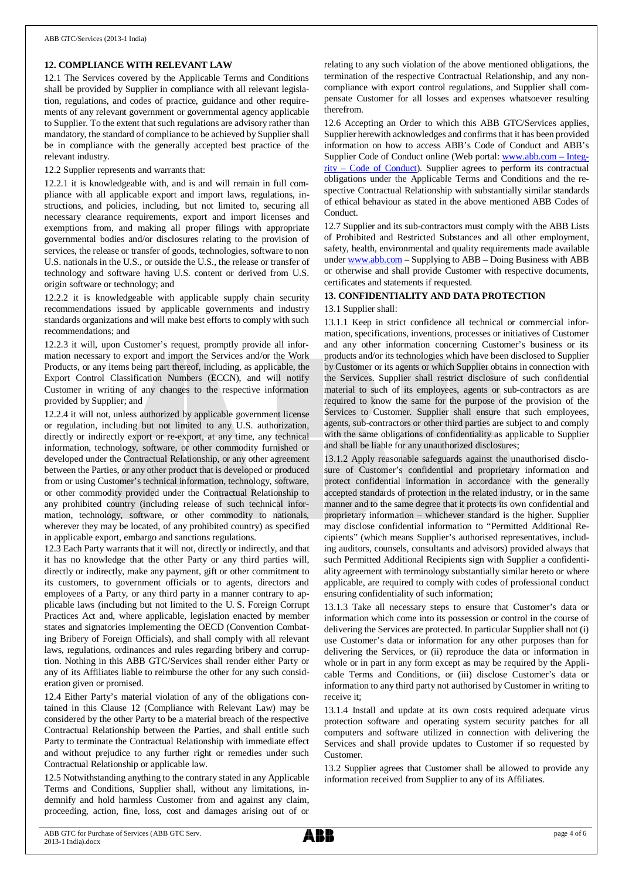## **12. COMPLIANCE WITH RELEVANT LAW**

12.1 The Services covered by the Applicable Terms and Conditions shall be provided by Supplier in compliance with all relevant legislation, regulations, and codes of practice, guidance and other requirements of any relevant government or governmental agency applicable to Supplier. To the extent that such regulations are advisory rather than mandatory, the standard of compliance to be achieved by Supplier shall be in compliance with the generally accepted best practice of the relevant industry.

12.2 Supplier represents and warrants that:

12.2.1 it is knowledgeable with, and is and will remain in full compliance with all applicable export and import laws, regulations, instructions, and policies, including, but not limited to, securing all necessary clearance requirements, export and import licenses and exemptions from, and making all proper filings with appropriate governmental bodies and/or disclosures relating to the provision of services, the release or transfer of goods, technologies, software to non U.S. nationals in the U.S., or outside the U.S., the release or transfer of technology and software having U.S. content or derived from U.S. origin software or technology; and

12.2.2 it is knowledgeable with applicable supply chain security recommendations issued by applicable governments and industry standards organizations and will make best efforts to comply with such recommendations; and

12.2.3 it will, upon Customer's request, promptly provide all information necessary to export and import the Services and/or the Work Products, or any items being part thereof, including, as applicable, the Export Control Classification Numbers (ECCN), and will notify Customer in writing of any changes to the respective information provided by Supplier; and

12.2.4 it will not, unless authorized by applicable government license or regulation, including but not limited to any U.S. authorization, directly or indirectly export or re-export, at any time, any technical information, technology, software, or other commodity furnished or developed under the Contractual Relationship, or any other agreement between the Parties, or any other product that is developed or produced from or using Customer's technical information, technology, software, or other commodity provided under the Contractual Relationship to any prohibited country (including release of such technical information, technology, software, or other commodity to nationals, wherever they may be located, of any prohibited country) as specified in applicable export, embargo and sanctions regulations.

12.3 Each Party warrants that it will not, directly or indirectly, and that it has no knowledge that the other Party or any third parties will, directly or indirectly, make any payment, gift or other commitment to its customers, to government officials or to agents, directors and employees of a Party, or any third party in a manner contrary to applicable laws (including but not limited to the U. S. Foreign Corrupt Practices Act and, where applicable, legislation enacted by member states and signatories implementing the OECD (Convention Combating Bribery of Foreign Officials), and shall comply with all relevant laws, regulations, ordinances and rules regarding bribery and corruption. Nothing in this ABB GTC/Services shall render either Party or any of its Affiliates liable to reimburse the other for any such consideration given or promised.

12.4 Either Party's material violation of any of the obligations contained in this Clause 12 (Compliance with Relevant Law) may be considered by the other Party to be a material breach of the respective Contractual Relationship between the Parties, and shall entitle such Party to terminate the Contractual Relationship with immediate effect and without prejudice to any further right or remedies under such Contractual Relationship or applicable law.

12.5 Notwithstanding anything to the contrary stated in any Applicable Terms and Conditions, Supplier shall, without any limitations, indemnify and hold harmless Customer from and against any claim, proceeding, action, fine, loss, cost and damages arising out of or

relating to any such violation of the above mentioned obligations, the termination of the respective Contractual Relationship, and any noncompliance with export control regulations, and Supplier shall compensate Customer for all losses and expenses whatsoever resulting therefrom.

12.6 Accepting an Order to which this ABB GTC/Services applies, Supplier herewith acknowledges and confirms that it has been provided information on how to access ABB's Code of Conduct and ABB's Supplier Code of Conduct online (Web portal: [www.abb.com](http://www.abb.com/) – Integrity – Code of Conduct). Supplier agrees to perform its contractual obligations under the Applicable Terms and Conditions and the respective Contractual Relationship with substantially similar standards of ethical behaviour as stated in the above mentioned ABB Codes of Conduct.

12.7 Supplier and its sub-contractors must comply with the ABB Lists of Prohibited and Restricted Substances and all other employment, safety, health, environmental and quality requirements made available under [www.abb.com](http://www.abb.com/) – Supplying to ABB – Doing Business with ABB or otherwise and shall provide Customer with respective documents, certificates and statements if requested.

## **13. CONFIDENTIALITY AND DATA PROTECTION**

## 13.1 Supplier shall:

13.1.1 Keep in strict confidence all technical or commercial information, specifications, inventions, processes or initiatives of Customer and any other information concerning Customer's business or its products and/or its technologies which have been disclosed to Supplier by Customer or its agents or which Supplier obtains in connection with the Services. Supplier shall restrict disclosure of such confidential material to such of its employees, agents or sub-contractors as are required to know the same for the purpose of the provision of the Services to Customer. Supplier shall ensure that such employees, agents, sub-contractors or other third parties are subject to and comply with the same obligations of confidentiality as applicable to Supplier and shall be liable for any unauthorized disclosures;

13.1.2 Apply reasonable safeguards against the unauthorised disclosure of Customer's confidential and proprietary information and protect confidential information in accordance with the generally accepted standards of protection in the related industry, or in the same manner and to the same degree that it protects its own confidential and proprietary information – whichever standard is the higher. Supplier may disclose confidential information to "Permitted Additional Recipients" (which means Supplier's authorised representatives, including auditors, counsels, consultants and advisors) provided always that such Permitted Additional Recipients sign with Supplier a confidentiality agreement with terminology substantially similar hereto or where applicable, are required to comply with codes of professional conduct ensuring confidentiality of such information;

13.1.3 Take all necessary steps to ensure that Customer's data or information which come into its possession or control in the course of delivering the Services are protected. In particular Supplier shall not (i) use Customer's data or information for any other purposes than for delivering the Services, or (ii) reproduce the data or information in whole or in part in any form except as may be required by the Applicable Terms and Conditions, or (iii) disclose Customer's data or information to any third party not authorised by Customer in writing to receive it;

13.1.4 Install and update at its own costs required adequate virus protection software and operating system security patches for all computers and software utilized in connection with delivering the Services and shall provide updates to Customer if so requested by Customer.

13.2 Supplier agrees that Customer shall be allowed to provide any information received from Supplier to any of its Affiliates.

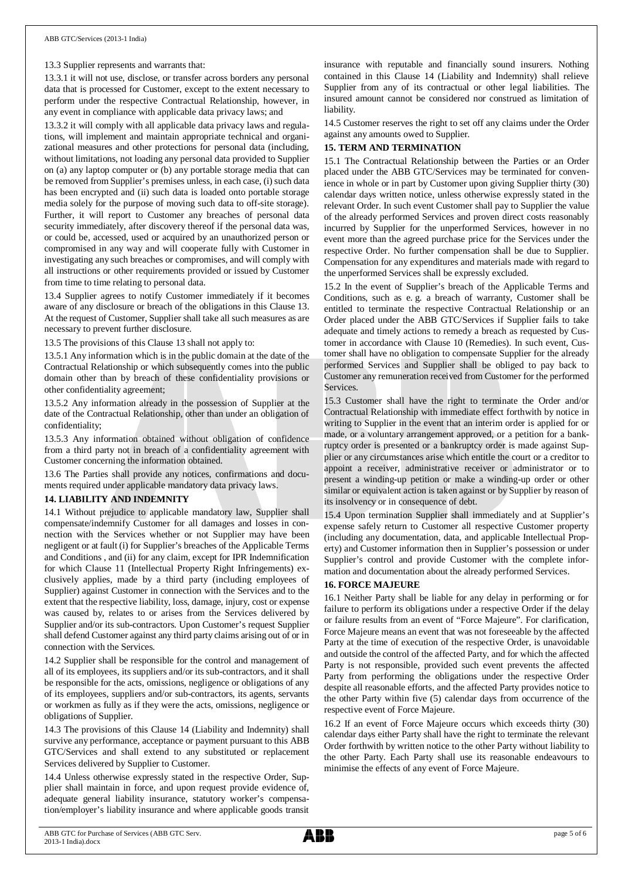13.3 Supplier represents and warrants that:

13.3.1 it will not use, disclose, or transfer across borders any personal data that is processed for Customer, except to the extent necessary to perform under the respective Contractual Relationship, however, in any event in compliance with applicable data privacy laws; and

13.3.2 it will comply with all applicable data privacy laws and regulations, will implement and maintain appropriate technical and organizational measures and other protections for personal data (including, without limitations, not loading any personal data provided to Supplier on (a) any laptop computer or (b) any portable storage media that can be removed from Supplier's premises unless, in each case, (i) such data has been encrypted and (ii) such data is loaded onto portable storage media solely for the purpose of moving such data to off-site storage). Further, it will report to Customer any breaches of personal data security immediately, after discovery thereof if the personal data was, or could be, accessed, used or acquired by an unauthorized person or compromised in any way and will cooperate fully with Customer in investigating any such breaches or compromises, and will comply with all instructions or other requirements provided or issued by Customer from time to time relating to personal data.

13.4 Supplier agrees to notify Customer immediately if it becomes aware of any disclosure or breach of the obligations in this Clause 13. At the request of Customer, Supplier shall take all such measures as are necessary to prevent further disclosure.

13.5 The provisions of this Clause 13 shall not apply to:

13.5.1 Any information which is in the public domain at the date of the Contractual Relationship or which subsequently comes into the public domain other than by breach of these confidentiality provisions or other confidentiality agreement;

13.5.2 Any information already in the possession of Supplier at the date of the Contractual Relationship, other than under an obligation of confidentiality;

13.5.3 Any information obtained without obligation of confidence from a third party not in breach of a confidentiality agreement with Customer concerning the information obtained.

13.6 The Parties shall provide any notices, confirmations and documents required under applicable mandatory data privacy laws.

## **14. LIABILITY AND INDEMNITY**

14.1 Without prejudice to applicable mandatory law, Supplier shall compensate/indemnify Customer for all damages and losses in connection with the Services whether or not Supplier may have been negligent or at fault (i) for Supplier's breaches of the Applicable Terms and Conditions , and (ii) for any claim, except for IPR Indemnification for which Clause 11 (Intellectual Property Right Infringements) exclusively applies, made by a third party (including employees of Supplier) against Customer in connection with the Services and to the extent that the respective liability, loss, damage, injury, cost or expense was caused by, relates to or arises from the Services delivered by Supplier and/or its sub-contractors. Upon Customer's request Supplier shall defend Customer against any third party claims arising out of or in connection with the Services.

14.2 Supplier shall be responsible for the control and management of all of its employees, its suppliers and/or its sub-contractors, and it shall be responsible for the acts, omissions, negligence or obligations of any of its employees, suppliers and/or sub-contractors, its agents, servants or workmen as fully as if they were the acts, omissions, negligence or obligations of Supplier.

14.3 The provisions of this Clause 14 (Liability and Indemnity) shall survive any performance, acceptance or payment pursuant to this ABB GTC/Services and shall extend to any substituted or replacement Services delivered by Supplier to Customer.

14.4 Unless otherwise expressly stated in the respective Order, Supplier shall maintain in force, and upon request provide evidence of, adequate general liability insurance, statutory worker's compensation/employer's liability insurance and where applicable goods transit

insurance with reputable and financially sound insurers. Nothing contained in this Clause 14 (Liability and Indemnity) shall relieve Supplier from any of its contractual or other legal liabilities. The insured amount cannot be considered nor construed as limitation of liability.

14.5 Customer reserves the right to set off any claims under the Order against any amounts owed to Supplier.

## **15. TERM AND TERMINATION**

15.1 The Contractual Relationship between the Parties or an Order placed under the ABB GTC/Services may be terminated for convenience in whole or in part by Customer upon giving Supplier thirty (30) calendar days written notice, unless otherwise expressly stated in the relevant Order. In such event Customer shall pay to Supplier the value of the already performed Services and proven direct costs reasonably incurred by Supplier for the unperformed Services, however in no event more than the agreed purchase price for the Services under the respective Order. No further compensation shall be due to Supplier. Compensation for any expenditures and materials made with regard to the unperformed Services shall be expressly excluded.

15.2 In the event of Supplier's breach of the Applicable Terms and Conditions, such as e. g. a breach of warranty, Customer shall be entitled to terminate the respective Contractual Relationship or an Order placed under the ABB GTC/Services if Supplier fails to take adequate and timely actions to remedy a breach as requested by Customer in accordance with Clause 10 (Remedies). In such event, Customer shall have no obligation to compensate Supplier for the already performed Services and Supplier shall be obliged to pay back to Customer any remuneration received from Customer for the performed **Services** 

15.3 Customer shall have the right to terminate the Order and/or Contractual Relationship with immediate effect forthwith by notice in writing to Supplier in the event that an interim order is applied for or made, or a voluntary arrangement approved, or a petition for a bankruptcy order is presented or a bankruptcy order is made against Supplier or any circumstances arise which entitle the court or a creditor to appoint a receiver, administrative receiver or administrator or to present a winding-up petition or make a winding-up order or other similar or equivalent action is taken against or by Supplier by reason of its insolvency or in consequence of debt.

15.4 Upon termination Supplier shall immediately and at Supplier's expense safely return to Customer all respective Customer property (including any documentation, data, and applicable Intellectual Property) and Customer information then in Supplier's possession or under Supplier's control and provide Customer with the complete information and documentation about the already performed Services.

## **16. FORCE MAJEURE**

16.1 Neither Party shall be liable for any delay in performing or for failure to perform its obligations under a respective Order if the delay or failure results from an event of "Force Majeure". For clarification, Force Majeure means an event that was not foreseeable by the affected Party at the time of execution of the respective Order, is unavoidable and outside the control of the affected Party, and for which the affected Party is not responsible, provided such event prevents the affected Party from performing the obligations under the respective Order despite all reasonable efforts, and the affected Party provides notice to the other Party within five (5) calendar days from occurrence of the respective event of Force Majeure.

16.2 If an event of Force Majeure occurs which exceeds thirty (30) calendar days either Party shall have the right to terminate the relevant Order forthwith by written notice to the other Party without liability to the other Party. Each Party shall use its reasonable endeavours to minimise the effects of any event of Force Majeure.